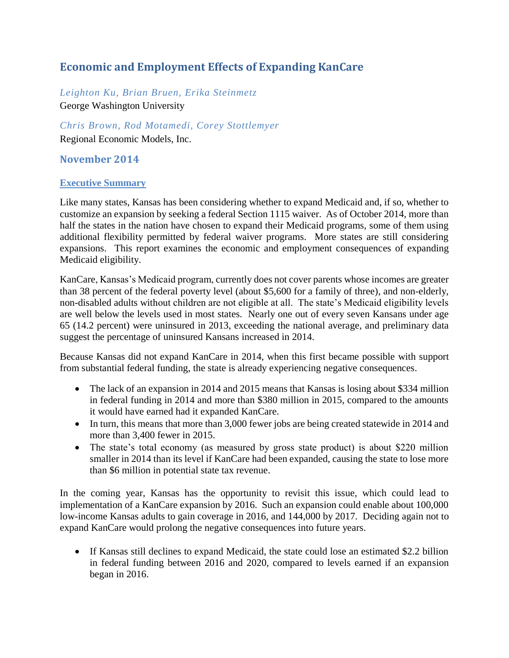# **Economic and Employment Effects of Expanding KanCare**

*Leighton Ku, Brian Bruen, Erika Steinmetz* George Washington University

*Chris Brown, Rod Motamedi, Corey Stottlemyer* Regional Economic Models, Inc.

## **November 2014**

### **Executive Summary**

Like many states, Kansas has been considering whether to expand Medicaid and, if so, whether to customize an expansion by seeking a federal Section 1115 waiver. As of October 2014, more than half the states in the nation have chosen to expand their Medicaid programs, some of them using additional flexibility permitted by federal waiver programs. More states are still considering expansions. This report examines the economic and employment consequences of expanding Medicaid eligibility.

KanCare, Kansas's Medicaid program, currently does not cover parents whose incomes are greater than 38 percent of the federal poverty level (about \$5,600 for a family of three), and non-elderly, non-disabled adults without children are not eligible at all. The state's Medicaid eligibility levels are well below the levels used in most states. Nearly one out of every seven Kansans under age 65 (14.2 percent) were uninsured in 2013, exceeding the national average, and preliminary data suggest the percentage of uninsured Kansans increased in 2014.

Because Kansas did not expand KanCare in 2014, when this first became possible with support from substantial federal funding, the state is already experiencing negative consequences.

- The lack of an expansion in 2014 and 2015 means that Kansas is losing about \$334 million in federal funding in 2014 and more than \$380 million in 2015, compared to the amounts it would have earned had it expanded KanCare.
- In turn, this means that more than 3,000 fewer jobs are being created statewide in 2014 and more than 3,400 fewer in 2015.
- The state's total economy (as measured by gross state product) is about \$220 million smaller in 2014 than its level if KanCare had been expanded, causing the state to lose more than \$6 million in potential state tax revenue.

In the coming year, Kansas has the opportunity to revisit this issue, which could lead to implementation of a KanCare expansion by 2016. Such an expansion could enable about 100,000 low-income Kansas adults to gain coverage in 2016, and 144,000 by 2017. Deciding again not to expand KanCare would prolong the negative consequences into future years.

 If Kansas still declines to expand Medicaid, the state could lose an estimated \$2.2 billion in federal funding between 2016 and 2020, compared to levels earned if an expansion began in 2016.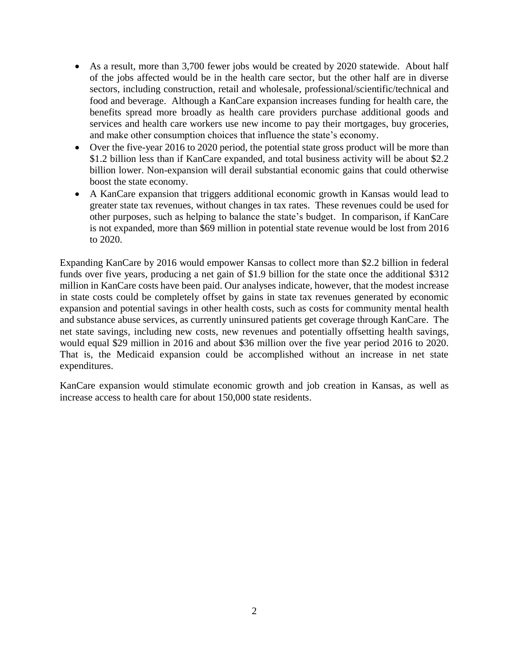- As a result, more than 3,700 fewer jobs would be created by 2020 statewide. About half of the jobs affected would be in the health care sector, but the other half are in diverse sectors, including construction, retail and wholesale, professional/scientific/technical and food and beverage. Although a KanCare expansion increases funding for health care, the benefits spread more broadly as health care providers purchase additional goods and services and health care workers use new income to pay their mortgages, buy groceries, and make other consumption choices that influence the state's economy.
- Over the five-year 2016 to 2020 period, the potential state gross product will be more than \$1.2 billion less than if KanCare expanded, and total business activity will be about \$2.2 billion lower. Non-expansion will derail substantial economic gains that could otherwise boost the state economy.
- A KanCare expansion that triggers additional economic growth in Kansas would lead to greater state tax revenues, without changes in tax rates. These revenues could be used for other purposes, such as helping to balance the state's budget. In comparison, if KanCare is not expanded, more than \$69 million in potential state revenue would be lost from 2016 to 2020.

Expanding KanCare by 2016 would empower Kansas to collect more than \$2.2 billion in federal funds over five years, producing a net gain of \$1.9 billion for the state once the additional \$312 million in KanCare costs have been paid. Our analyses indicate, however, that the modest increase in state costs could be completely offset by gains in state tax revenues generated by economic expansion and potential savings in other health costs, such as costs for community mental health and substance abuse services, as currently uninsured patients get coverage through KanCare. The net state savings, including new costs, new revenues and potentially offsetting health savings, would equal \$29 million in 2016 and about \$36 million over the five year period 2016 to 2020. That is, the Medicaid expansion could be accomplished without an increase in net state expenditures.

KanCare expansion would stimulate economic growth and job creation in Kansas, as well as increase access to health care for about 150,000 state residents.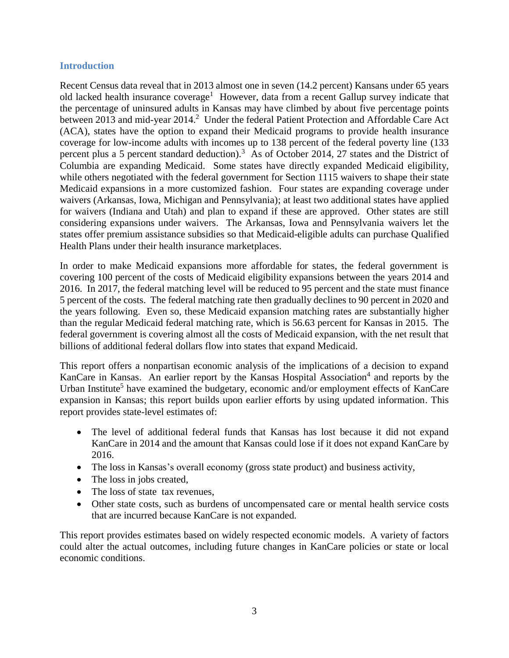### **Introduction**

Recent Census data reveal that in 2013 almost one in seven (14.2 percent) Kansans under 65 years old lacked health insurance coverage<sup>1</sup> However, data from a recent Gallup survey indicate that the percentage of uninsured adults in Kansas may have climbed by about five percentage points between 2013 and mid-year 2014.<sup>2</sup> Under the federal Patient Protection and Affordable Care Act (ACA), states have the option to expand their Medicaid programs to provide health insurance coverage for low-income adults with incomes up to 138 percent of the federal poverty line (133 percent plus a 5 percent standard deduction).<sup>3</sup> As of October 2014, 27 states and the District of Columbia are expanding Medicaid. Some states have directly expanded Medicaid eligibility, while others negotiated with the federal government for Section 1115 waivers to shape their state Medicaid expansions in a more customized fashion. Four states are expanding coverage under waivers (Arkansas, Iowa, Michigan and Pennsylvania); at least two additional states have applied for waivers (Indiana and Utah) and plan to expand if these are approved. Other states are still considering expansions under waivers. The Arkansas, Iowa and Pennsylvania waivers let the states offer premium assistance subsidies so that Medicaid-eligible adults can purchase Qualified Health Plans under their health insurance marketplaces.

In order to make Medicaid expansions more affordable for states, the federal government is covering 100 percent of the costs of Medicaid eligibility expansions between the years 2014 and 2016. In 2017, the federal matching level will be reduced to 95 percent and the state must finance 5 percent of the costs. The federal matching rate then gradually declines to 90 percent in 2020 and the years following. Even so, these Medicaid expansion matching rates are substantially higher than the regular Medicaid federal matching rate, which is 56.63 percent for Kansas in 2015. The federal government is covering almost all the costs of Medicaid expansion, with the net result that billions of additional federal dollars flow into states that expand Medicaid.

This report offers a nonpartisan economic analysis of the implications of a decision to expand KanCare in Kansas. An earlier report by the Kansas Hospital Association<sup>4</sup> and reports by the Urban Institute<sup>5</sup> have examined the budgetary, economic and/or employment effects of KanCare expansion in Kansas; this report builds upon earlier efforts by using updated information. This report provides state-level estimates of:

- The level of additional federal funds that Kansas has lost because it did not expand KanCare in 2014 and the amount that Kansas could lose if it does not expand KanCare by 2016.
- The loss in Kansas's overall economy (gross state product) and business activity,
- The loss in jobs created,
- The loss of state tax revenues,
- Other state costs, such as burdens of uncompensated care or mental health service costs that are incurred because KanCare is not expanded.

This report provides estimates based on widely respected economic models. A variety of factors could alter the actual outcomes, including future changes in KanCare policies or state or local economic conditions.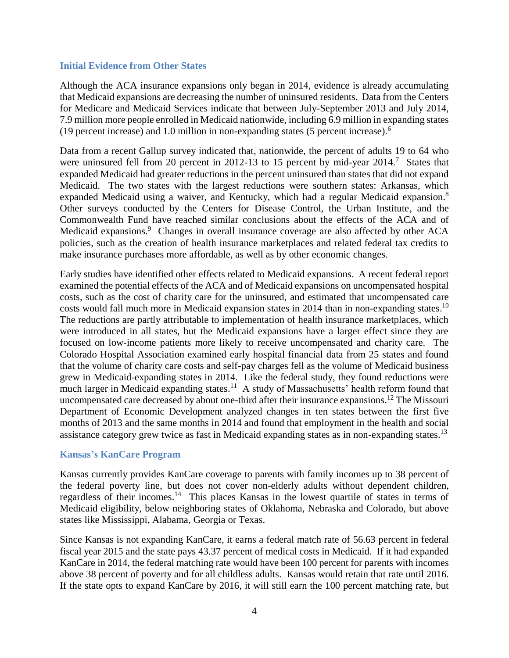### **Initial Evidence from Other States**

Although the ACA insurance expansions only began in 2014, evidence is already accumulating that Medicaid expansions are decreasing the number of uninsured residents. Data from the Centers for Medicare and Medicaid Services indicate that between July-September 2013 and July 2014, 7.9 million more people enrolled in Medicaid nationwide, including 6.9 million in expanding states (19 percent increase) and 1.0 million in non-expanding states (5 percent increase). $<sup>6</sup>$ </sup>

Data from a recent Gallup survey indicated that, nationwide, the percent of adults 19 to 64 who were uninsured fell from 20 percent in 2012-13 to 15 percent by mid-year 2014.<sup>7</sup> States that expanded Medicaid had greater reductions in the percent uninsured than states that did not expand Medicaid. The two states with the largest reductions were southern states: Arkansas, which expanded Medicaid using a waiver, and Kentucky, which had a regular Medicaid expansion.<sup>8</sup> Other surveys conducted by the Centers for Disease Control, the Urban Institute, and the Commonwealth Fund have reached similar conclusions about the effects of the ACA and of Medicaid expansions.<sup>9</sup> Changes in overall insurance coverage are also affected by other ACA policies, such as the creation of health insurance marketplaces and related federal tax credits to make insurance purchases more affordable, as well as by other economic changes.

Early studies have identified other effects related to Medicaid expansions. A recent federal report examined the potential effects of the ACA and of Medicaid expansions on uncompensated hospital costs, such as the cost of charity care for the uninsured, and estimated that uncompensated care costs would fall much more in Medicaid expansion states in 2014 than in non-expanding states.<sup>10</sup> The reductions are partly attributable to implementation of health insurance marketplaces, which were introduced in all states, but the Medicaid expansions have a larger effect since they are focused on low-income patients more likely to receive uncompensated and charity care. The Colorado Hospital Association examined early hospital financial data from 25 states and found that the volume of charity care costs and self-pay charges fell as the volume of Medicaid business grew in Medicaid-expanding states in 2014. Like the federal study, they found reductions were much larger in Medicaid expanding states.<sup>11</sup> A study of Massachusetts' health reform found that uncompensated care decreased by about one-third after their insurance expansions.<sup>12</sup> The Missouri Department of Economic Development analyzed changes in ten states between the first five months of 2013 and the same months in 2014 and found that employment in the health and social assistance category grew twice as fast in Medicaid expanding states as in non-expanding states.<sup>13</sup>

### **Kansas's KanCare Program**

Kansas currently provides KanCare coverage to parents with family incomes up to 38 percent of the federal poverty line, but does not cover non-elderly adults without dependent children, regardless of their incomes.<sup>14</sup> This places Kansas in the lowest quartile of states in terms of Medicaid eligibility, below neighboring states of Oklahoma, Nebraska and Colorado, but above states like Mississippi, Alabama, Georgia or Texas.

Since Kansas is not expanding KanCare, it earns a federal match rate of 56.63 percent in federal fiscal year 2015 and the state pays 43.37 percent of medical costs in Medicaid. If it had expanded KanCare in 2014, the federal matching rate would have been 100 percent for parents with incomes above 38 percent of poverty and for all childless adults. Kansas would retain that rate until 2016. If the state opts to expand KanCare by 2016, it will still earn the 100 percent matching rate, but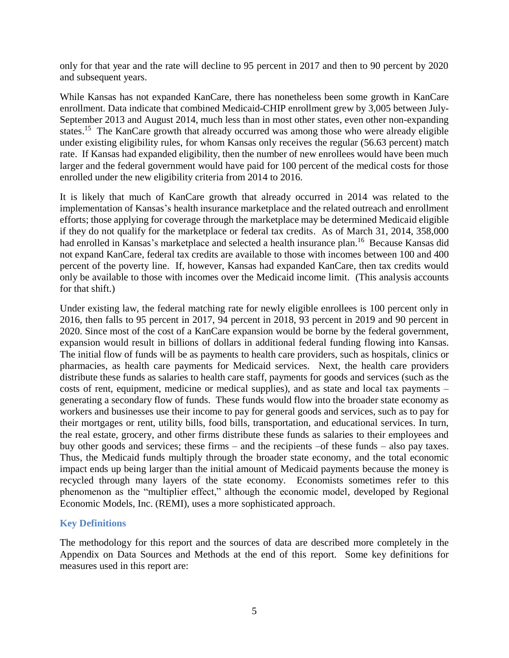only for that year and the rate will decline to 95 percent in 2017 and then to 90 percent by 2020 and subsequent years.

While Kansas has not expanded KanCare, there has nonetheless been some growth in KanCare enrollment. Data indicate that combined Medicaid-CHIP enrollment grew by 3,005 between July-September 2013 and August 2014, much less than in most other states, even other non-expanding states.<sup>15</sup> The KanCare growth that already occurred was among those who were already eligible under existing eligibility rules, for whom Kansas only receives the regular (56.63 percent) match rate. If Kansas had expanded eligibility, then the number of new enrollees would have been much larger and the federal government would have paid for 100 percent of the medical costs for those enrolled under the new eligibility criteria from 2014 to 2016.

It is likely that much of KanCare growth that already occurred in 2014 was related to the implementation of Kansas's health insurance marketplace and the related outreach and enrollment efforts; those applying for coverage through the marketplace may be determined Medicaid eligible if they do not qualify for the marketplace or federal tax credits. As of March 31, 2014, 358,000 had enrolled in Kansas's marketplace and selected a health insurance plan.<sup>16</sup> Because Kansas did not expand KanCare, federal tax credits are available to those with incomes between 100 and 400 percent of the poverty line. If, however, Kansas had expanded KanCare, then tax credits would only be available to those with incomes over the Medicaid income limit. (This analysis accounts for that shift.)

Under existing law, the federal matching rate for newly eligible enrollees is 100 percent only in 2016, then falls to 95 percent in 2017, 94 percent in 2018, 93 percent in 2019 and 90 percent in 2020. Since most of the cost of a KanCare expansion would be borne by the federal government, expansion would result in billions of dollars in additional federal funding flowing into Kansas. The initial flow of funds will be as payments to health care providers, such as hospitals, clinics or pharmacies, as health care payments for Medicaid services. Next, the health care providers distribute these funds as salaries to health care staff, payments for goods and services (such as the costs of rent, equipment, medicine or medical supplies), and as state and local tax payments – generating a secondary flow of funds. These funds would flow into the broader state economy as workers and businesses use their income to pay for general goods and services, such as to pay for their mortgages or rent, utility bills, food bills, transportation, and educational services. In turn, the real estate, grocery, and other firms distribute these funds as salaries to their employees and buy other goods and services; these firms – and the recipients –of these funds – also pay taxes. Thus, the Medicaid funds multiply through the broader state economy, and the total economic impact ends up being larger than the initial amount of Medicaid payments because the money is recycled through many layers of the state economy. Economists sometimes refer to this phenomenon as the "multiplier effect," although the economic model, developed by Regional Economic Models, Inc. (REMI), uses a more sophisticated approach.

### **Key Definitions**

The methodology for this report and the sources of data are described more completely in the Appendix on Data Sources and Methods at the end of this report. Some key definitions for measures used in this report are: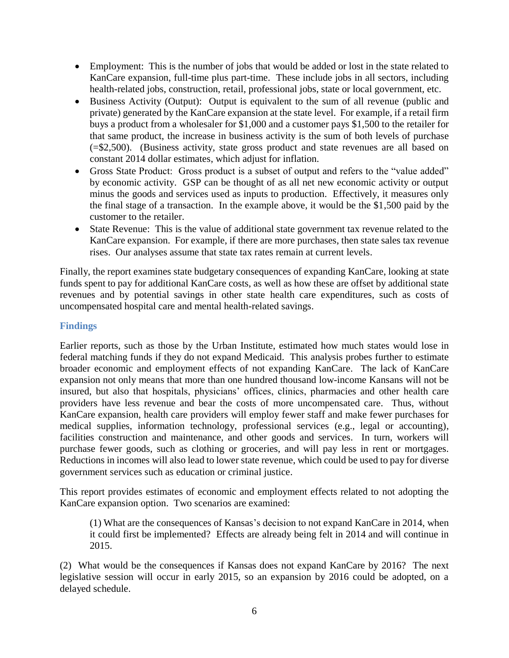- Employment: This is the number of jobs that would be added or lost in the state related to KanCare expansion, full-time plus part-time. These include jobs in all sectors, including health-related jobs, construction, retail, professional jobs, state or local government, etc.
- Business Activity (Output): Output is equivalent to the sum of all revenue (public and private) generated by the KanCare expansion at the state level. For example, if a retail firm buys a product from a wholesaler for \$1,000 and a customer pays \$1,500 to the retailer for that same product, the increase in business activity is the sum of both levels of purchase (=\$2,500). (Business activity, state gross product and state revenues are all based on constant 2014 dollar estimates, which adjust for inflation.
- Gross State Product: Gross product is a subset of output and refers to the "value added" by economic activity. GSP can be thought of as all net new economic activity or output minus the goods and services used as inputs to production. Effectively, it measures only the final stage of a transaction. In the example above, it would be the \$1,500 paid by the customer to the retailer.
- State Revenue: This is the value of additional state government tax revenue related to the KanCare expansion. For example, if there are more purchases, then state sales tax revenue rises. Our analyses assume that state tax rates remain at current levels.

Finally, the report examines state budgetary consequences of expanding KanCare, looking at state funds spent to pay for additional KanCare costs, as well as how these are offset by additional state revenues and by potential savings in other state health care expenditures, such as costs of uncompensated hospital care and mental health-related savings.

### **Findings**

Earlier reports, such as those by the Urban Institute, estimated how much states would lose in federal matching funds if they do not expand Medicaid. This analysis probes further to estimate broader economic and employment effects of not expanding KanCare. The lack of KanCare expansion not only means that more than one hundred thousand low-income Kansans will not be insured, but also that hospitals, physicians' offices, clinics, pharmacies and other health care providers have less revenue and bear the costs of more uncompensated care. Thus, without KanCare expansion, health care providers will employ fewer staff and make fewer purchases for medical supplies, information technology, professional services (e.g., legal or accounting), facilities construction and maintenance, and other goods and services. In turn, workers will purchase fewer goods, such as clothing or groceries, and will pay less in rent or mortgages. Reductions in incomes will also lead to lower state revenue, which could be used to pay for diverse government services such as education or criminal justice.

This report provides estimates of economic and employment effects related to not adopting the KanCare expansion option. Two scenarios are examined:

(1) What are the consequences of Kansas's decision to not expand KanCare in 2014, when it could first be implemented? Effects are already being felt in 2014 and will continue in 2015.

(2) What would be the consequences if Kansas does not expand KanCare by 2016? The next legislative session will occur in early 2015, so an expansion by 2016 could be adopted, on a delayed schedule.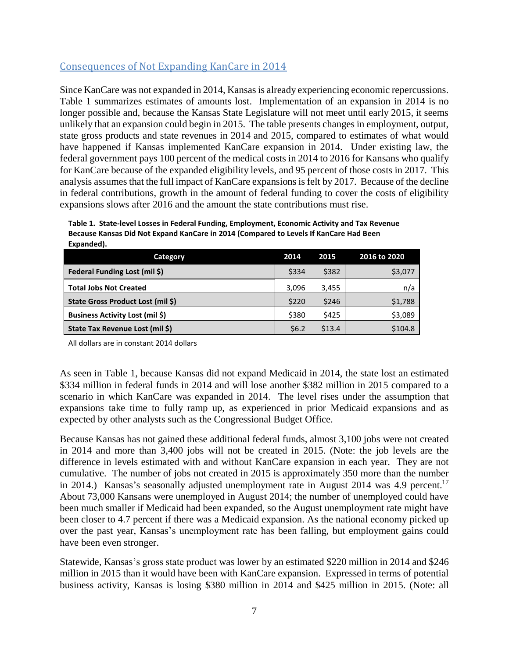## Consequences of Not Expanding KanCare in 2014

Since KanCare was not expanded in 2014, Kansas is already experiencing economic repercussions. Table 1 summarizes estimates of amounts lost. Implementation of an expansion in 2014 is no longer possible and, because the Kansas State Legislature will not meet until early 2015, it seems unlikely that an expansion could begin in 2015. The table presents changes in employment, output, state gross products and state revenues in 2014 and 2015, compared to estimates of what would have happened if Kansas implemented KanCare expansion in 2014. Under existing law, the federal government pays 100 percent of the medical costs in 2014 to 2016 for Kansans who qualify for KanCare because of the expanded eligibility levels, and 95 percent of those costs in 2017. This analysis assumes that the full impact of KanCare expansions is felt by 2017. Because of the decline in federal contributions, growth in the amount of federal funding to cover the costs of eligibility expansions slows after 2016 and the amount the state contributions must rise.

| Table 1. State-level Losses in Federal Funding, Employment, Economic Activity and Tax Revenue |
|-----------------------------------------------------------------------------------------------|
| Because Kansas Did Not Expand KanCare in 2014 (Compared to Levels If KanCare Had Been         |
| Expanded).                                                                                    |

| Category                               | 2014    | 2015   | 2016 to 2020 |
|----------------------------------------|---------|--------|--------------|
| <b>Federal Funding Lost (mil \$)</b>   | \$334   | \$382  | \$3,077      |
| <b>Total Jobs Not Created</b>          | 3,096   | 3,455  | n/a          |
| State Gross Product Lost (mil \$)      | \$220   | \$246  | \$1,788      |
| <b>Business Activity Lost (mil \$)</b> | \$380   | \$425  | \$3,089      |
| State Tax Revenue Lost (mil \$)        | \$6.2\$ | \$13.4 | \$104.8      |

All dollars are in constant 2014 dollars

As seen in Table 1, because Kansas did not expand Medicaid in 2014, the state lost an estimated \$334 million in federal funds in 2014 and will lose another \$382 million in 2015 compared to a scenario in which KanCare was expanded in 2014. The level rises under the assumption that expansions take time to fully ramp up, as experienced in prior Medicaid expansions and as expected by other analysts such as the Congressional Budget Office.

Because Kansas has not gained these additional federal funds, almost 3,100 jobs were not created in 2014 and more than 3,400 jobs will not be created in 2015. (Note: the job levels are the difference in levels estimated with and without KanCare expansion in each year. They are not cumulative. The number of jobs not created in 2015 is approximately 350 more than the number in 2014.) Kansas's seasonally adjusted unemployment rate in August 2014 was 4.9 percent.<sup>17</sup> About 73,000 Kansans were unemployed in August 2014; the number of unemployed could have been much smaller if Medicaid had been expanded, so the August unemployment rate might have been closer to 4.7 percent if there was a Medicaid expansion. As the national economy picked up over the past year, Kansas's unemployment rate has been falling, but employment gains could have been even stronger.

Statewide, Kansas's gross state product was lower by an estimated \$220 million in 2014 and \$246 million in 2015 than it would have been with KanCare expansion. Expressed in terms of potential business activity, Kansas is losing \$380 million in 2014 and \$425 million in 2015. (Note: all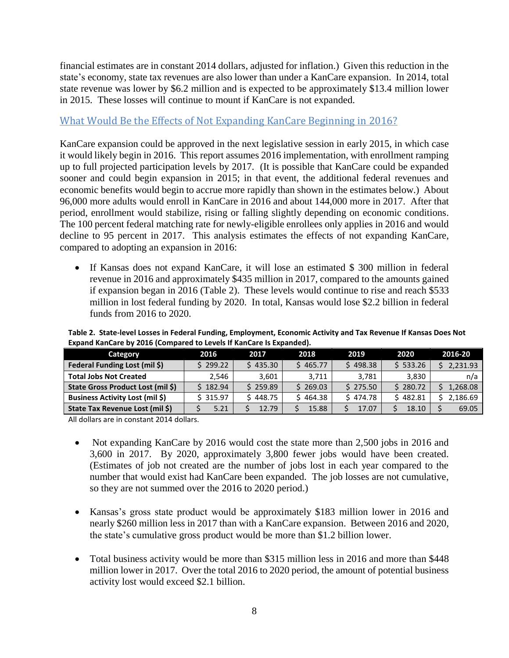financial estimates are in constant 2014 dollars, adjusted for inflation.) Given this reduction in the state's economy, state tax revenues are also lower than under a KanCare expansion. In 2014, total state revenue was lower by \$6.2 million and is expected to be approximately \$13.4 million lower in 2015. These losses will continue to mount if KanCare is not expanded.

## What Would Be the Effects of Not Expanding KanCare Beginning in 2016?

KanCare expansion could be approved in the next legislative session in early 2015, in which case it would likely begin in 2016. This report assumes 2016 implementation, with enrollment ramping up to full projected participation levels by 2017. (It is possible that KanCare could be expanded sooner and could begin expansion in 2015; in that event, the additional federal revenues and economic benefits would begin to accrue more rapidly than shown in the estimates below.) About 96,000 more adults would enroll in KanCare in 2016 and about 144,000 more in 2017. After that period, enrollment would stabilize, rising or falling slightly depending on economic conditions. The 100 percent federal matching rate for newly-eligible enrollees only applies in 2016 and would decline to 95 percent in 2017. This analysis estimates the effects of not expanding KanCare, compared to adopting an expansion in 2016:

• If Kansas does not expand KanCare, it will lose an estimated \$ 300 million in federal revenue in 2016 and approximately \$435 million in 2017, compared to the amounts gained if expansion began in 2016 (Table 2). These levels would continue to rise and reach \$533 million in lost federal funding by 2020. In total, Kansas would lose \$2.2 billion in federal funds from 2016 to 2020.

| LADDIIU KAIICAIE DV ZUID (CUIIIDAIEU LU LEVEIS II KAIICAIE IS LADAIIUEU). |          |          |          |          |          |          |  |  |
|---------------------------------------------------------------------------|----------|----------|----------|----------|----------|----------|--|--|
| Category                                                                  | 2016     | 2017     | 2018     | 2019     | 2020     | 2016-20  |  |  |
| Federal Funding Lost (mil \$)                                             | \$299.22 | \$435.30 | \$465.77 | \$498.38 | \$533.26 | 2,231.93 |  |  |
| <b>Total Jobs Not Created</b>                                             | 2.546    | 3.601    | 3.711    | 3.781    | 3.830    | n/a      |  |  |
| State Gross Product Lost (mil \$)                                         | \$182.94 | \$259.89 | \$269.03 | \$275.50 | \$280.72 | 1,268.08 |  |  |
| <b>Business Activity Lost (mil \$)</b>                                    | \$315.97 | \$448.75 | \$464.38 | \$474.78 | \$482.81 | 2,186.69 |  |  |
| State Tax Revenue Lost (mil \$)                                           | 5.21     | 12.79    | 15.88    | 17.07    | 18.10    | 69.05    |  |  |

**Table 2. State-level Losses in Federal Funding, Employment, Economic Activity and Tax Revenue If Kansas Does Not Expand KanCare by 2016 (Compared to Levels If KanCare Is Expanded).**

All dollars are in constant 2014 dollars.

- Not expanding KanCare by 2016 would cost the state more than 2,500 jobs in 2016 and 3,600 in 2017. By 2020, approximately 3,800 fewer jobs would have been created. (Estimates of job not created are the number of jobs lost in each year compared to the number that would exist had KanCare been expanded. The job losses are not cumulative, so they are not summed over the 2016 to 2020 period.)
- Kansas's gross state product would be approximately \$183 million lower in 2016 and nearly \$260 million less in 2017 than with a KanCare expansion. Between 2016 and 2020, the state's cumulative gross product would be more than \$1.2 billion lower.
- Total business activity would be more than \$315 million less in 2016 and more than \$448 million lower in 2017. Over the total 2016 to 2020 period, the amount of potential business activity lost would exceed \$2.1 billion.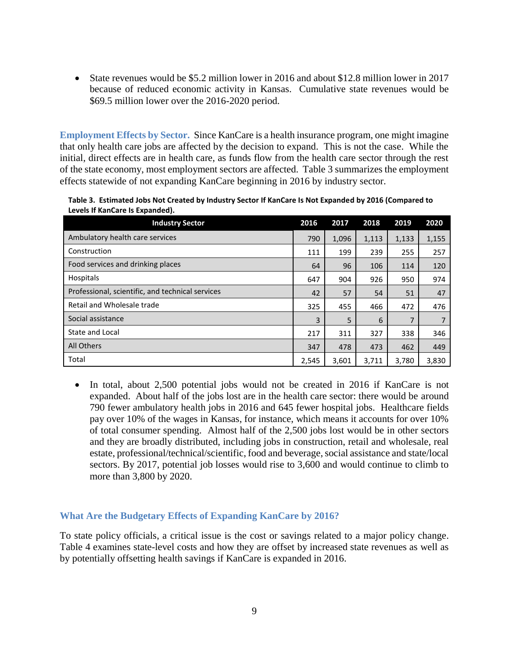State revenues would be \$5.2 million lower in 2016 and about \$12.8 million lower in 2017 because of reduced economic activity in Kansas. Cumulative state revenues would be \$69.5 million lower over the 2016-2020 period.

**Employment Effects by Sector.** Since KanCare is a health insurance program, one might imagine that only health care jobs are affected by the decision to expand. This is not the case. While the initial, direct effects are in health care, as funds flow from the health care sector through the rest of the state economy, most employment sectors are affected. Table 3 summarizes the employment effects statewide of not expanding KanCare beginning in 2016 by industry sector.

**Table 3. Estimated Jobs Not Created by Industry Sector If KanCare Is Not Expanded by 2016 (Compared to Levels If KanCare Is Expanded).**

| <b>Industry Sector</b>                           | 2016  | 2017  | 2018  | 2019  | 2020  |
|--------------------------------------------------|-------|-------|-------|-------|-------|
| Ambulatory health care services                  | 790   | 1,096 | 1,113 | 1,133 | 1,155 |
| Construction                                     | 111   | 199   | 239   | 255   | 257   |
| Food services and drinking places                | 64    | 96    | 106   | 114   | 120   |
| Hospitals                                        | 647   | 904   | 926   | 950   | 974   |
| Professional, scientific, and technical services | 42    | 57    | 54    | 51    | 47    |
| Retail and Wholesale trade                       | 325   | 455   | 466   | 472   | 476   |
| Social assistance                                | 3     | 5     | 6     | 7     |       |
| State and Local                                  | 217   | 311   | 327   | 338   | 346   |
| All Others                                       | 347   | 478   | 473   | 462   | 449   |
| Total                                            | 2,545 | 3,601 | 3,711 | 3,780 | 3,830 |

• In total, about 2,500 potential jobs would not be created in 2016 if KanCare is not expanded. About half of the jobs lost are in the health care sector: there would be around 790 fewer ambulatory health jobs in 2016 and 645 fewer hospital jobs. Healthcare fields pay over 10% of the wages in Kansas, for instance, which means it accounts for over 10% of total consumer spending. Almost half of the 2,500 jobs lost would be in other sectors and they are broadly distributed, including jobs in construction, retail and wholesale, real estate, professional/technical/scientific, food and beverage, social assistance and state/local sectors. By 2017, potential job losses would rise to 3,600 and would continue to climb to more than 3,800 by 2020.

### **What Are the Budgetary Effects of Expanding KanCare by 2016?**

To state policy officials, a critical issue is the cost or savings related to a major policy change. Table 4 examines state-level costs and how they are offset by increased state revenues as well as by potentially offsetting health savings if KanCare is expanded in 2016.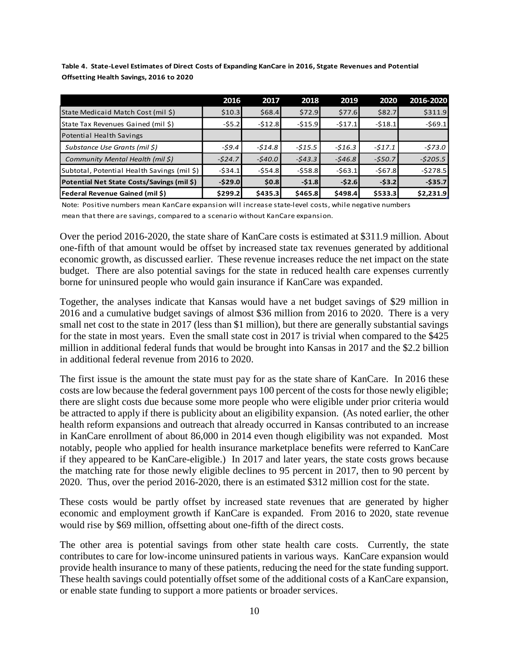**Table 4. State-Level Estimates of Direct Costs of Expanding KanCare in 2016, Stgate Revenues and Potential Offsetting Health Savings, 2016 to 2020**

|                                             | 2016     | 2017     | 2018     | 2019     | 2020     | 2016-2020 |
|---------------------------------------------|----------|----------|----------|----------|----------|-----------|
| State Medicaid Match Cost (mil \$)          | \$10.3   | \$68.4   | \$72.9   | \$77.6   | \$82.7   | \$311.9   |
| State Tax Revenues Gained (mil \$)          | $-55.2$  | $-512.8$ | $-515.9$ | $-517.1$ | $-518.1$ | $-569.1$  |
| Potential Health Savings                    |          |          |          |          |          |           |
| Substance Use Grants (mil \$)               | -\$9.4   | $-514.8$ | $-515.5$ | $-516.3$ | -\$17.1  | $-573.0$  |
| Community Mental Health (mil \$)            | $-524.7$ | $-540.0$ | $-543.3$ | $-546.8$ | $-550.7$ | $-5205.5$ |
| Subtotal, Potential Health Savings (mil \$) | $-534.1$ | $-554.8$ | $-558.8$ | $-563.1$ | $-567.8$ | $-5278.5$ |
| Potential Net State Costs/Savings (mil \$)  | $-529.0$ | \$0.8    | $-51.8$  | $-52.6$  | $-53.2$  | $-535.7$  |
| <b>Federal Revenue Gained (mil \$)</b>      | \$299.2] | \$435.3  | \$465.8  | \$498.4  | \$533.3  | \$2,231.9 |

Note: Positive numbers mean KanCare expansion will increase state-level costs, while negative numbers mean that there are savings, compared to a scenario without KanCare expansion.

Over the period 2016-2020, the state share of KanCare costs is estimated at \$311.9 million. About one-fifth of that amount would be offset by increased state tax revenues generated by additional economic growth, as discussed earlier. These revenue increases reduce the net impact on the state budget. There are also potential savings for the state in reduced health care expenses currently borne for uninsured people who would gain insurance if KanCare was expanded.

Together, the analyses indicate that Kansas would have a net budget savings of \$29 million in 2016 and a cumulative budget savings of almost \$36 million from 2016 to 2020. There is a very small net cost to the state in 2017 (less than \$1 million), but there are generally substantial savings for the state in most years. Even the small state cost in 2017 is trivial when compared to the \$425 million in additional federal funds that would be brought into Kansas in 2017 and the \$2.2 billion in additional federal revenue from 2016 to 2020.

The first issue is the amount the state must pay for as the state share of KanCare. In 2016 these costs are low because the federal government pays 100 percent of the costs for those newly eligible; there are slight costs due because some more people who were eligible under prior criteria would be attracted to apply if there is publicity about an eligibility expansion. (As noted earlier, the other health reform expansions and outreach that already occurred in Kansas contributed to an increase in KanCare enrollment of about 86,000 in 2014 even though eligibility was not expanded. Most notably, people who applied for health insurance marketplace benefits were referred to KanCare if they appeared to be KanCare-eligible.) In 2017 and later years, the state costs grows because the matching rate for those newly eligible declines to 95 percent in 2017, then to 90 percent by 2020. Thus, over the period 2016-2020, there is an estimated \$312 million cost for the state.

These costs would be partly offset by increased state revenues that are generated by higher economic and employment growth if KanCare is expanded. From 2016 to 2020, state revenue would rise by \$69 million, offsetting about one-fifth of the direct costs.

The other area is potential savings from other state health care costs. Currently, the state contributes to care for low-income uninsured patients in various ways. KanCare expansion would provide health insurance to many of these patients, reducing the need for the state funding support. These health savings could potentially offset some of the additional costs of a KanCare expansion, or enable state funding to support a more patients or broader services.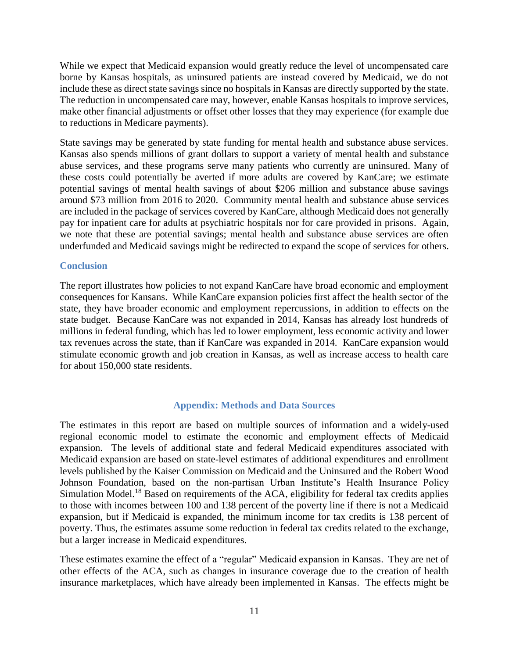While we expect that Medicaid expansion would greatly reduce the level of uncompensated care borne by Kansas hospitals, as uninsured patients are instead covered by Medicaid, we do not include these as direct state savings since no hospitals in Kansas are directly supported by the state. The reduction in uncompensated care may, however, enable Kansas hospitals to improve services, make other financial adjustments or offset other losses that they may experience (for example due to reductions in Medicare payments).

State savings may be generated by state funding for mental health and substance abuse services. Kansas also spends millions of grant dollars to support a variety of mental health and substance abuse services, and these programs serve many patients who currently are uninsured. Many of these costs could potentially be averted if more adults are covered by KanCare; we estimate potential savings of mental health savings of about \$206 million and substance abuse savings around \$73 million from 2016 to 2020. Community mental health and substance abuse services are included in the package of services covered by KanCare, although Medicaid does not generally pay for inpatient care for adults at psychiatric hospitals nor for care provided in prisons. Again, we note that these are potential savings; mental health and substance abuse services are often underfunded and Medicaid savings might be redirected to expand the scope of services for others.

### **Conclusion**

The report illustrates how policies to not expand KanCare have broad economic and employment consequences for Kansans. While KanCare expansion policies first affect the health sector of the state, they have broader economic and employment repercussions, in addition to effects on the state budget. Because KanCare was not expanded in 2014, Kansas has already lost hundreds of millions in federal funding, which has led to lower employment, less economic activity and lower tax revenues across the state, than if KanCare was expanded in 2014. KanCare expansion would stimulate economic growth and job creation in Kansas, as well as increase access to health care for about 150,000 state residents.

#### **Appendix: Methods and Data Sources**

The estimates in this report are based on multiple sources of information and a widely-used regional economic model to estimate the economic and employment effects of Medicaid expansion. The levels of additional state and federal Medicaid expenditures associated with Medicaid expansion are based on state-level estimates of additional expenditures and enrollment levels published by the Kaiser Commission on Medicaid and the Uninsured and the Robert Wood Johnson Foundation, based on the non-partisan Urban Institute's Health Insurance Policy Simulation Model.<sup>18</sup> Based on requirements of the ACA, eligibility for federal tax credits applies to those with incomes between 100 and 138 percent of the poverty line if there is not a Medicaid expansion, but if Medicaid is expanded, the minimum income for tax credits is 138 percent of poverty. Thus, the estimates assume some reduction in federal tax credits related to the exchange, but a larger increase in Medicaid expenditures.

These estimates examine the effect of a "regular" Medicaid expansion in Kansas. They are net of other effects of the ACA, such as changes in insurance coverage due to the creation of health insurance marketplaces, which have already been implemented in Kansas. The effects might be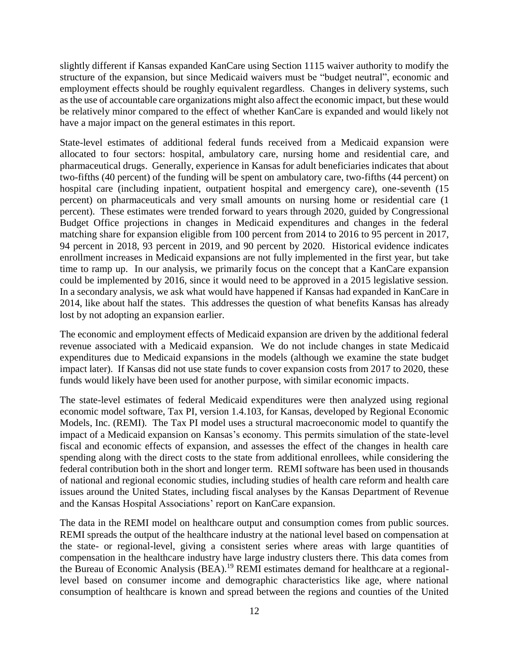slightly different if Kansas expanded KanCare using Section 1115 waiver authority to modify the structure of the expansion, but since Medicaid waivers must be "budget neutral", economic and employment effects should be roughly equivalent regardless. Changes in delivery systems, such as the use of accountable care organizations might also affect the economic impact, but these would be relatively minor compared to the effect of whether KanCare is expanded and would likely not have a major impact on the general estimates in this report.

State-level estimates of additional federal funds received from a Medicaid expansion were allocated to four sectors: hospital, ambulatory care, nursing home and residential care, and pharmaceutical drugs. Generally, experience in Kansas for adult beneficiaries indicates that about two-fifths (40 percent) of the funding will be spent on ambulatory care, two-fifths (44 percent) on hospital care (including inpatient, outpatient hospital and emergency care), one-seventh (15 percent) on pharmaceuticals and very small amounts on nursing home or residential care (1 percent). These estimates were trended forward to years through 2020, guided by Congressional Budget Office projections in changes in Medicaid expenditures and changes in the federal matching share for expansion eligible from 100 percent from 2014 to 2016 to 95 percent in 2017, 94 percent in 2018, 93 percent in 2019, and 90 percent by 2020. Historical evidence indicates enrollment increases in Medicaid expansions are not fully implemented in the first year, but take time to ramp up. In our analysis, we primarily focus on the concept that a KanCare expansion could be implemented by 2016, since it would need to be approved in a 2015 legislative session. In a secondary analysis, we ask what would have happened if Kansas had expanded in KanCare in 2014, like about half the states. This addresses the question of what benefits Kansas has already lost by not adopting an expansion earlier.

The economic and employment effects of Medicaid expansion are driven by the additional federal revenue associated with a Medicaid expansion. We do not include changes in state Medicaid expenditures due to Medicaid expansions in the models (although we examine the state budget impact later). If Kansas did not use state funds to cover expansion costs from 2017 to 2020, these funds would likely have been used for another purpose, with similar economic impacts.

The state-level estimates of federal Medicaid expenditures were then analyzed using regional economic model software, Tax PI, version 1.4.103, for Kansas, developed by Regional Economic Models, Inc. (REMI). The Tax PI model uses a structural macroeconomic model to quantify the impact of a Medicaid expansion on Kansas's economy. This permits simulation of the state-level fiscal and economic effects of expansion, and assesses the effect of the changes in health care spending along with the direct costs to the state from additional enrollees, while considering the federal contribution both in the short and longer term. REMI software has been used in thousands of national and regional economic studies, including studies of health care reform and health care issues around the United States, including fiscal analyses by the Kansas Department of Revenue and the Kansas Hospital Associations' report on KanCare expansion.

The data in the REMI model on healthcare output and consumption comes from public sources. REMI spreads the output of the healthcare industry at the national level based on compensation at the state- or regional-level, giving a consistent series where areas with large quantities of compensation in the healthcare industry have large industry clusters there. This data comes from the Bureau of Economic Analysis (BEA).<sup>19</sup> REMI estimates demand for healthcare at a regionallevel based on consumer income and demographic characteristics like age, where national consumption of healthcare is known and spread between the regions and counties of the United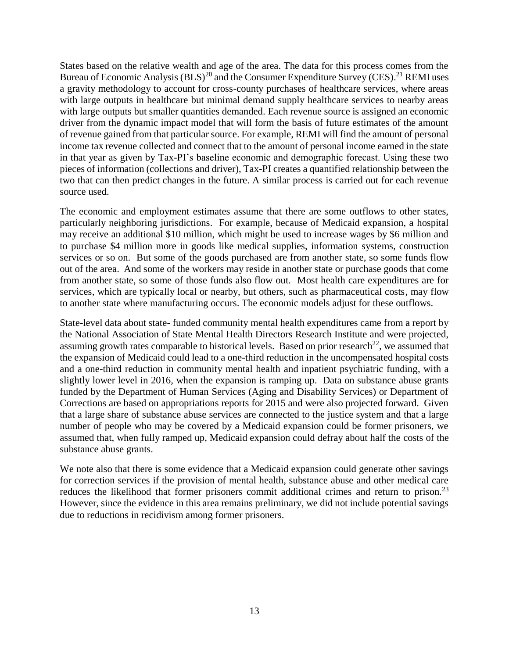States based on the relative wealth and age of the area. The data for this process comes from the Bureau of Economic Analysis  $(BLS)^{20}$  and the Consumer Expenditure Survey (CES).<sup>21</sup> REMI uses a gravity methodology to account for cross-county purchases of healthcare services, where areas with large outputs in healthcare but minimal demand supply healthcare services to nearby areas with large outputs but smaller quantities demanded. Each revenue source is assigned an economic driver from the dynamic impact model that will form the basis of future estimates of the amount of revenue gained from that particular source. For example, REMI will find the amount of personal income tax revenue collected and connect that to the amount of personal income earned in the state in that year as given by Tax-PI's baseline economic and demographic forecast. Using these two pieces of information (collections and driver), Tax-PI creates a quantified relationship between the two that can then predict changes in the future. A similar process is carried out for each revenue source used.

The economic and employment estimates assume that there are some outflows to other states, particularly neighboring jurisdictions. For example, because of Medicaid expansion, a hospital may receive an additional \$10 million, which might be used to increase wages by \$6 million and to purchase \$4 million more in goods like medical supplies, information systems, construction services or so on. But some of the goods purchased are from another state, so some funds flow out of the area. And some of the workers may reside in another state or purchase goods that come from another state, so some of those funds also flow out. Most health care expenditures are for services, which are typically local or nearby, but others, such as pharmaceutical costs, may flow to another state where manufacturing occurs. The economic models adjust for these outflows.

State-level data about state- funded community mental health expenditures came from a report by the National Association of State Mental Health Directors Research Institute and were projected, assuming growth rates comparable to historical levels. Based on prior research<sup>22</sup>, we assumed that the expansion of Medicaid could lead to a one-third reduction in the uncompensated hospital costs and a one-third reduction in community mental health and inpatient psychiatric funding, with a slightly lower level in 2016, when the expansion is ramping up. Data on substance abuse grants funded by the Department of Human Services (Aging and Disability Services) or Department of Corrections are based on appropriations reports for 2015 and were also projected forward. Given that a large share of substance abuse services are connected to the justice system and that a large number of people who may be covered by a Medicaid expansion could be former prisoners, we assumed that, when fully ramped up, Medicaid expansion could defray about half the costs of the substance abuse grants.

We note also that there is some evidence that a Medicaid expansion could generate other savings for correction services if the provision of mental health, substance abuse and other medical care reduces the likelihood that former prisoners commit additional crimes and return to prison.<sup>23</sup> However, since the evidence in this area remains preliminary, we did not include potential savings due to reductions in recidivism among former prisoners.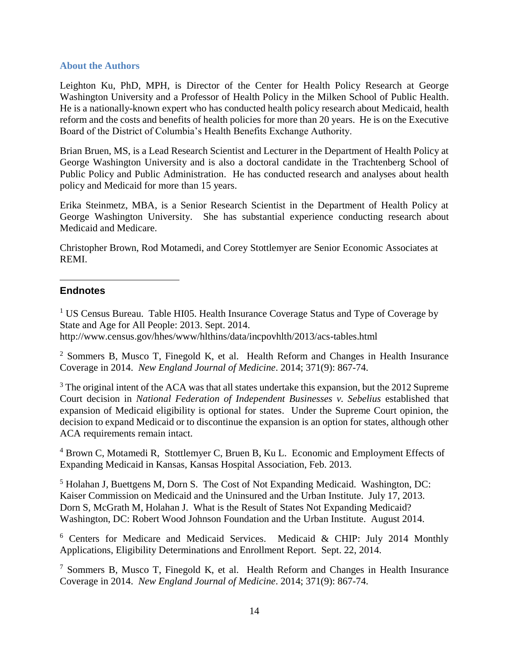### **About the Authors**

Leighton Ku, PhD, MPH, is Director of the Center for Health Policy Research at George Washington University and a Professor of Health Policy in the Milken School of Public Health. He is a nationally-known expert who has conducted health policy research about Medicaid, health reform and the costs and benefits of health policies for more than 20 years. He is on the Executive Board of the District of Columbia's Health Benefits Exchange Authority.

Brian Bruen, MS, is a Lead Research Scientist and Lecturer in the Department of Health Policy at George Washington University and is also a doctoral candidate in the Trachtenberg School of Public Policy and Public Administration. He has conducted research and analyses about health policy and Medicaid for more than 15 years.

Erika Steinmetz, MBA, is a Senior Research Scientist in the Department of Health Policy at George Washington University. She has substantial experience conducting research about Medicaid and Medicare.

Christopher Brown, Rod Motamedi, and Corey Stottlemyer are Senior Economic Associates at REMI.

### **Endnotes**

 $\overline{a}$ 

<sup>1</sup> US Census Bureau. Table HI05. Health Insurance Coverage Status and Type of Coverage by State and Age for All People: 2013. Sept. 2014. http://www.census.gov/hhes/www/hlthins/data/incpovhlth/2013/acs-tables.html

<sup>2</sup> Sommers B, Musco T, Finegold K, et al. Health Reform and Changes in Health Insurance Coverage in 2014. *New England Journal of Medicine*. 2014; 371(9): 867-74.

<sup>3</sup> The original intent of the ACA was that all states undertake this expansion, but the 2012 Supreme Court decision in *National Federation of Independent Businesses v. Sebelius* established that expansion of Medicaid eligibility is optional for states. Under the Supreme Court opinion, the decision to expand Medicaid or to discontinue the expansion is an option for states, although other ACA requirements remain intact.

<sup>4</sup> Brown C, Motamedi R, Stottlemyer C, Bruen B, Ku L. Economic and Employment Effects of Expanding Medicaid in Kansas, Kansas Hospital Association, Feb. 2013.

<sup>5</sup> Holahan J, Buettgens M, Dorn S. The Cost of Not Expanding Medicaid. Washington, DC: Kaiser Commission on Medicaid and the Uninsured and the Urban Institute. July 17, 2013. Dorn S, McGrath M, Holahan J. What is the Result of States Not Expanding Medicaid? Washington, DC: Robert Wood Johnson Foundation and the Urban Institute. August 2014.

<sup>6</sup> Centers for Medicare and Medicaid Services. Medicaid & CHIP: July 2014 Monthly Applications, Eligibility Determinations and Enrollment Report. Sept. 22, 2014.

<sup>7</sup> Sommers B, Musco T, Finegold K, et al. Health Reform and Changes in Health Insurance Coverage in 2014. *New England Journal of Medicine*. 2014; 371(9): 867-74.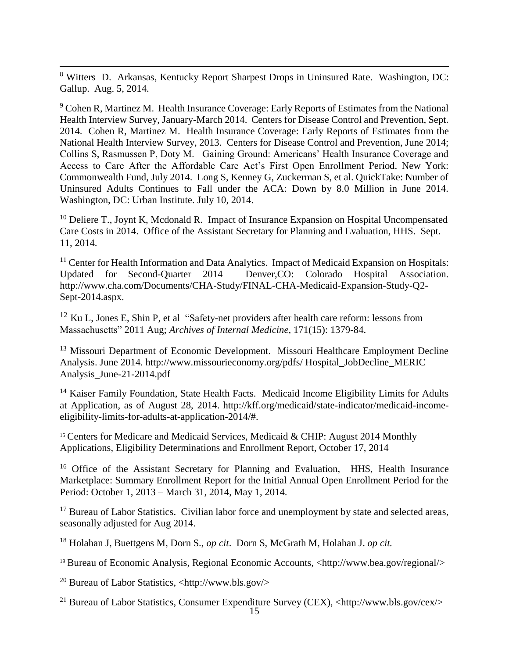<sup>8</sup> Witters D. Arkansas, Kentucky Report Sharpest Drops in Uninsured Rate. Washington, DC: Gallup. Aug. 5, 2014.

 $\overline{a}$ 

<sup>9</sup> Cohen R, Martinez M. Health Insurance Coverage: Early Reports of Estimates from the National Health Interview Survey, January-March 2014. Centers for Disease Control and Prevention, Sept. 2014. Cohen R, Martinez M. Health Insurance Coverage: Early Reports of Estimates from the National Health Interview Survey, 2013. Centers for Disease Control and Prevention, June 2014; Collins S, Rasmussen P, Doty M. Gaining Ground: Americans' Health Insurance Coverage and Access to Care After the Affordable Care Act's First Open Enrollment Period. New York: Commonwealth Fund, July 2014. Long S, Kenney G, Zuckerman S, et al. QuickTake: Number of Uninsured Adults Continues to Fall under the ACA: Down by 8.0 Million in June 2014. Washington, DC: Urban Institute. July 10, 2014.

 $10$  Deliere T., Joynt K, Mcdonald R. Impact of Insurance Expansion on Hospital Uncompensated Care Costs in 2014. Office of the Assistant Secretary for Planning and Evaluation, HHS. Sept. 11, 2014.

 $11$  Center for Health Information and Data Analytics. Impact of Medicaid Expansion on Hospitals: Updated for Second-Quarter 2014 Denver,CO: Colorado Hospital Association. http://www.cha.com/Documents/CHA-Study/FINAL-CHA-Medicaid-Expansion-Study-Q2- Sept-2014.aspx.

 $12$  Ku L, Jones E, Shin P, et al "Safety-net providers after health care reform: lessons from Massachusetts" 2011 Aug; *Archives of Internal Medicine,* 171(15): 1379-84.

<sup>13</sup> Missouri Department of Economic Development. Missouri Healthcare Employment Decline Analysis. June 2014. http://www.missourieconomy.org/pdfs/ Hospital\_JobDecline\_MERIC Analysis\_June-21-2014.pdf

<sup>14</sup> Kaiser Family Foundation, State Health Facts. Medicaid Income Eligibility Limits for Adults at Application, as of August 28, 2014. http://kff.org/medicaid/state-indicator/medicaid-incomeeligibility-limits-for-adults-at-application-2014/#.

 $15$  Centers for Medicare and Medicaid Services, Medicaid & CHIP: August 2014 Monthly Applications, Eligibility Determinations and Enrollment Report, October 17, 2014

<sup>16</sup> Office of the Assistant Secretary for Planning and Evaluation, HHS, Health Insurance Marketplace: Summary Enrollment Report for the Initial Annual Open Enrollment Period for the Period: October 1, 2013 – March 31, 2014, May 1, 2014.

<sup>17</sup> Bureau of Labor Statistics. Civilian labor force and unemployment by state and selected areas, seasonally adjusted for Aug 2014.

<sup>18</sup> Holahan J, Buettgens M, Dorn S., *op cit*. Dorn S, McGrath M, Holahan J. *op cit.* 

<sup>19</sup> Bureau of Economic Analysis, Regional Economic Accounts, <http://www.bea.gov/regional/>

<sup>20</sup> Bureau of Labor Statistics,  $\langle$ http://www.bls.gov/>

<sup>21</sup> Bureau of Labor Statistics, Consumer Expenditure Survey (CEX), <http://www.bls.gov/cex/>